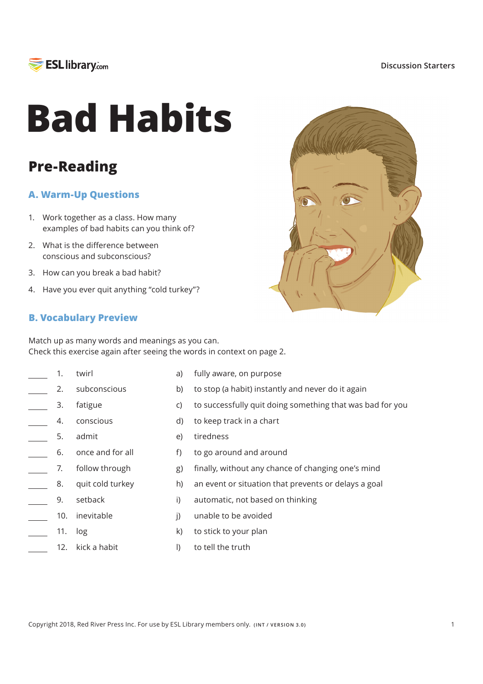

**ESL library.com** 

# **Bad Habits**

## **Pre-Reading**

### **A. Warm-Up Questions**

- 1. Work together as a class. How many examples of bad habits can you think of?
- 2. What is the difference between conscious and subconscious?
- 3. How can you break a bad habit?
- 4. Have you ever quit anything "cold turkey"?



#### **B. Vocabulary Preview**

Match up as many words and meanings as you can. Check this exercise again after seeing the words in context on page 2.

 $a)$  $b)$  $\mathsf{C}$ d)  $e)$  $f$  $g)$  $h$  $\overline{I}$  $\mathsf{I}$  $\mathsf{k}$  $\vert$ fully aware, on purpose to stop (a habit) instantly and never do it again to successfully quit doing something that was bad for you to keep track in a chart tiredness to go around and around finally, without any chance of changing one's mind an event or situation that prevents or delays a goal automatic, not based on thinking unable to be avoided to stick to your plan to tell the truth twirl subconscious fatigue conscious admit once and for all follow through quit cold turkey setback 10. inevitable 11. log 12. kick a habit 1. 2. 3. 4. 5. 6. 7. 8. 9.